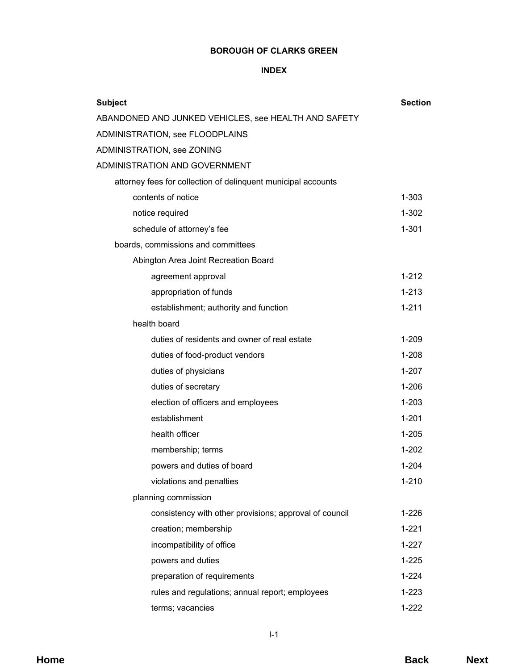# **BOROUGH OF CLARKS GREEN**

# **INDEX**

| <b>Subject</b>                                                | <b>Section</b> |
|---------------------------------------------------------------|----------------|
| ABANDONED AND JUNKED VEHICLES, see HEALTH AND SAFETY          |                |
| ADMINISTRATION, see FLOODPLAINS                               |                |
| ADMINISTRATION, see ZONING                                    |                |
| ADMINISTRATION AND GOVERNMENT                                 |                |
| attorney fees for collection of delinquent municipal accounts |                |
| contents of notice                                            | $1 - 303$      |
| notice required                                               | $1 - 302$      |
| schedule of attorney's fee                                    | $1 - 301$      |
| boards, commissions and committees                            |                |
| Abington Area Joint Recreation Board                          |                |
| agreement approval                                            | $1 - 212$      |
| appropriation of funds                                        | $1 - 213$      |
| establishment; authority and function                         | $1 - 211$      |
| health board                                                  |                |
| duties of residents and owner of real estate                  | 1-209          |
| duties of food-product vendors                                | $1 - 208$      |
| duties of physicians                                          | $1 - 207$      |
| duties of secretary                                           | $1 - 206$      |
| election of officers and employees                            | $1 - 203$      |
| establishment                                                 | $1 - 201$      |
| health officer                                                | $1 - 205$      |
| membership; terms                                             | $1 - 202$      |
| powers and duties of board                                    | $1 - 204$      |
| violations and penalties                                      | $1 - 210$      |
| planning commission                                           |                |
| consistency with other provisions; approval of council        | $1 - 226$      |
| creation; membership                                          | $1 - 221$      |
| incompatibility of office                                     | $1 - 227$      |
| powers and duties                                             | $1 - 225$      |
| preparation of requirements                                   | $1 - 224$      |
| rules and regulations; annual report; employees               | $1 - 223$      |
| terms; vacancies                                              | $1 - 222$      |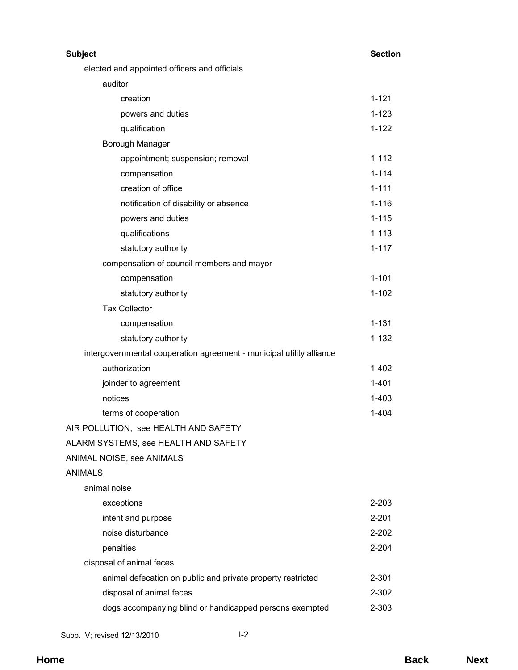| <b>Subject</b>                                                       | <b>Section</b> |
|----------------------------------------------------------------------|----------------|
| elected and appointed officers and officials                         |                |
| auditor                                                              |                |
| creation                                                             | $1 - 121$      |
| powers and duties                                                    | $1 - 123$      |
| qualification                                                        | $1 - 122$      |
| Borough Manager                                                      |                |
| appointment; suspension; removal                                     | $1 - 112$      |
| compensation                                                         | $1 - 114$      |
| creation of office                                                   | $1 - 111$      |
| notification of disability or absence                                | $1 - 116$      |
| powers and duties                                                    | $1 - 115$      |
| qualifications                                                       | $1 - 113$      |
| statutory authority                                                  | $1 - 117$      |
| compensation of council members and mayor                            |                |
| compensation                                                         | $1 - 101$      |
| statutory authority                                                  | $1 - 102$      |
| <b>Tax Collector</b>                                                 |                |
| compensation                                                         | $1 - 131$      |
| statutory authority                                                  | $1 - 132$      |
| intergovernmental cooperation agreement - municipal utility alliance |                |
| authorization                                                        | $1 - 402$      |
| joinder to agreement                                                 | $1 - 401$      |
| notices                                                              | $1 - 403$      |
| terms of cooperation                                                 | $1 - 404$      |
| AIR POLLUTION, see HEALTH AND SAFETY                                 |                |
| ALARM SYSTEMS, see HEALTH AND SAFETY                                 |                |
| ANIMAL NOISE, see ANIMALS                                            |                |
| <b>ANIMALS</b>                                                       |                |
| animal noise                                                         |                |
| exceptions                                                           | 2-203          |
| intent and purpose                                                   | $2 - 201$      |
| noise disturbance                                                    | $2 - 202$      |
| penalties                                                            | 2-204          |
| disposal of animal feces                                             |                |
| animal defecation on public and private property restricted          | $2 - 301$      |
| disposal of animal feces                                             | 2-302          |
| dogs accompanying blind or handicapped persons exempted              | 2-303          |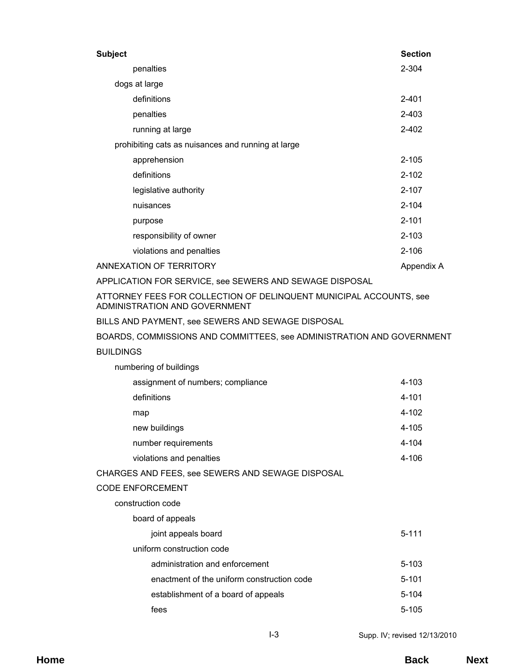| <b>Subject</b>          |                                                    | <b>Section</b> |
|-------------------------|----------------------------------------------------|----------------|
| penalties               |                                                    | 2-304          |
| dogs at large           |                                                    |                |
| definitions             |                                                    | $2 - 401$      |
| penalties               |                                                    | 2-403          |
| running at large        |                                                    | 2-402          |
|                         | prohibiting cats as nuisances and running at large |                |
| apprehension            |                                                    | $2 - 105$      |
| definitions             |                                                    | $2 - 102$      |
| legislative authority   |                                                    | $2 - 107$      |
| nuisances               |                                                    | $2 - 104$      |
| purpose                 |                                                    | $2 - 101$      |
|                         | responsibility of owner                            | $2 - 103$      |
|                         | violations and penalties                           | $2 - 106$      |
| ANNEXATION OF TERRITORY |                                                    | Appendix A     |

APPLICATION FOR SERVICE, see SEWERS AND SEWAGE DISPOSAL

ATTORNEY FEES FOR COLLECTION OF DELINQUENT MUNICIPAL ACCOUNTS, see ADMINISTRATION AND GOVERNMENT

BILLS AND PAYMENT, see SEWERS AND SEWAGE DISPOSAL

BOARDS, COMMISSIONS AND COMMITTEES, see ADMINISTRATION AND GOVERNMENT

### **BUILDINGS**

| assignment of numbers; compliance                | 4-103     |
|--------------------------------------------------|-----------|
| definitions                                      | $4 - 101$ |
| map                                              | 4-102     |
| new buildings                                    | 4-105     |
| number requirements                              | $4 - 104$ |
| violations and penalties                         | 4-106     |
| CHARGES AND FEES, see SEWERS AND SEWAGE DISPOSAL |           |
| <b>CODE ENFORCEMENT</b>                          |           |
|                                                  |           |

construction code

numbering of buildings

board of appeals

joint appeals board 5-111 uniform construction code administration and enforcement 5-103 enactment of the uniform construction code 5-101 establishment of a board of appeals 5-104 fees 5-105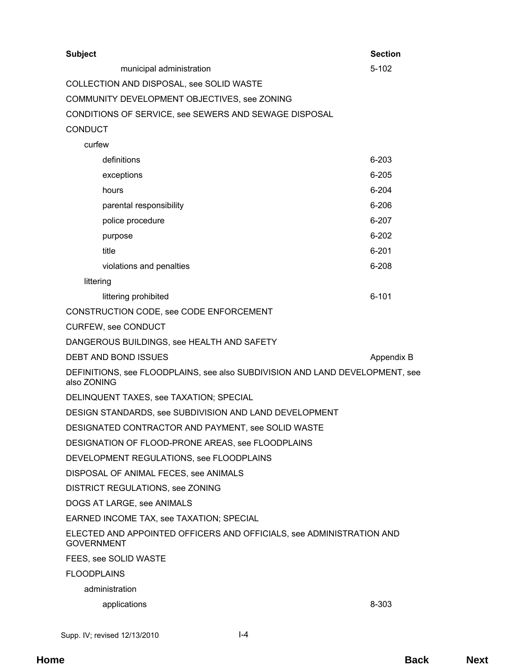| <b>Subject</b>                                                                              |                                                                      | <b>Section</b> |
|---------------------------------------------------------------------------------------------|----------------------------------------------------------------------|----------------|
|                                                                                             | municipal administration                                             | $5 - 102$      |
|                                                                                             | COLLECTION AND DISPOSAL, see SOLID WASTE                             |                |
|                                                                                             | COMMUNITY DEVELOPMENT OBJECTIVES, see ZONING                         |                |
|                                                                                             | CONDITIONS OF SERVICE, see SEWERS AND SEWAGE DISPOSAL                |                |
| <b>CONDUCT</b>                                                                              |                                                                      |                |
| curfew                                                                                      |                                                                      |                |
|                                                                                             | definitions                                                          | $6 - 203$      |
|                                                                                             | exceptions                                                           | $6 - 205$      |
|                                                                                             | hours                                                                | $6 - 204$      |
|                                                                                             | parental responsibility                                              | $6 - 206$      |
|                                                                                             | police procedure                                                     | $6 - 207$      |
|                                                                                             | purpose                                                              | $6 - 202$      |
|                                                                                             | title                                                                | $6 - 201$      |
|                                                                                             | violations and penalties                                             | $6 - 208$      |
| littering                                                                                   |                                                                      |                |
|                                                                                             | littering prohibited                                                 | $6 - 101$      |
|                                                                                             | CONSTRUCTION CODE, see CODE ENFORCEMENT                              |                |
|                                                                                             | <b>CURFEW, see CONDUCT</b>                                           |                |
|                                                                                             | DANGEROUS BUILDINGS, see HEALTH AND SAFETY                           |                |
|                                                                                             | DEBT AND BOND ISSUES                                                 | Appendix B     |
| DEFINITIONS, see FLOODPLAINS, see also SUBDIVISION AND LAND DEVELOPMENT, see<br>also ZONING |                                                                      |                |
|                                                                                             | DELINQUENT TAXES, see TAXATION; SPECIAL                              |                |
|                                                                                             | DESIGN STANDARDS, see SUBDIVISION AND LAND DEVELOPMENT               |                |
|                                                                                             | DESIGNATED CONTRACTOR AND PAYMENT, see SOLID WASTE                   |                |
|                                                                                             | DESIGNATION OF FLOOD-PRONE AREAS, see FLOODPLAINS                    |                |
|                                                                                             | DEVELOPMENT REGULATIONS, see FLOODPLAINS                             |                |
|                                                                                             | DISPOSAL OF ANIMAL FECES, see ANIMALS                                |                |
|                                                                                             | DISTRICT REGULATIONS, see ZONING                                     |                |
|                                                                                             | DOGS AT LARGE, see ANIMALS                                           |                |
|                                                                                             | EARNED INCOME TAX, see TAXATION; SPECIAL                             |                |
| <b>GOVERNMENT</b>                                                                           | ELECTED AND APPOINTED OFFICERS AND OFFICIALS, see ADMINISTRATION AND |                |
|                                                                                             | FEES, see SOLID WASTE                                                |                |
| <b>FLOODPLAINS</b>                                                                          |                                                                      |                |
|                                                                                             | administration                                                       |                |
|                                                                                             | applications                                                         | 8-303          |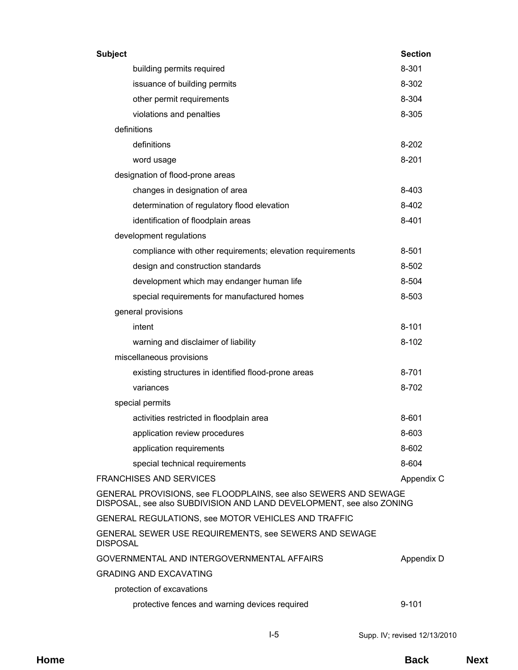| <b>Subject</b>                                                                                                                          |                                                            | <b>Section</b> |
|-----------------------------------------------------------------------------------------------------------------------------------------|------------------------------------------------------------|----------------|
|                                                                                                                                         | building permits required                                  | 8-301          |
|                                                                                                                                         | issuance of building permits                               | 8-302          |
|                                                                                                                                         | other permit requirements                                  | 8-304          |
|                                                                                                                                         | violations and penalties                                   | 8-305          |
|                                                                                                                                         | definitions                                                |                |
|                                                                                                                                         | definitions                                                | $8 - 202$      |
|                                                                                                                                         | word usage                                                 | $8 - 201$      |
|                                                                                                                                         | designation of flood-prone areas                           |                |
|                                                                                                                                         | changes in designation of area                             | 8-403          |
|                                                                                                                                         | determination of regulatory flood elevation                | 8-402          |
|                                                                                                                                         | identification of floodplain areas                         | $8 - 401$      |
|                                                                                                                                         | development regulations                                    |                |
|                                                                                                                                         | compliance with other requirements; elevation requirements | 8-501          |
|                                                                                                                                         | design and construction standards                          | 8-502          |
|                                                                                                                                         | development which may endanger human life                  | 8-504          |
|                                                                                                                                         | special requirements for manufactured homes                | 8-503          |
|                                                                                                                                         | general provisions                                         |                |
|                                                                                                                                         | intent                                                     | $8 - 101$      |
|                                                                                                                                         | warning and disclaimer of liability                        | $8 - 102$      |
|                                                                                                                                         | miscellaneous provisions                                   |                |
|                                                                                                                                         | existing structures in identified flood-prone areas        | 8-701          |
|                                                                                                                                         | variances                                                  | 8-702          |
|                                                                                                                                         | special permits                                            |                |
|                                                                                                                                         | activities restricted in floodplain area                   | 8-601          |
|                                                                                                                                         | application review procedures                              | 8-603          |
|                                                                                                                                         | application requirements                                   | 8-602          |
|                                                                                                                                         | special technical requirements                             | 8-604          |
|                                                                                                                                         | <b>FRANCHISES AND SERVICES</b>                             | Appendix C     |
| GENERAL PROVISIONS, see FLOODPLAINS, see also SEWERS AND SEWAGE<br>DISPOSAL, see also SUBDIVISION AND LAND DEVELOPMENT, see also ZONING |                                                            |                |
|                                                                                                                                         | GENERAL REGULATIONS, see MOTOR VEHICLES AND TRAFFIC        |                |
| <b>DISPOSAL</b>                                                                                                                         | GENERAL SEWER USE REQUIREMENTS, see SEWERS AND SEWAGE      |                |
|                                                                                                                                         | GOVERNMENTAL AND INTERGOVERNMENTAL AFFAIRS                 | Appendix D     |
|                                                                                                                                         | <b>GRADING AND EXCAVATING</b>                              |                |
|                                                                                                                                         | protection of excavations                                  |                |
|                                                                                                                                         | protective fences and warning devices required             | $9 - 101$      |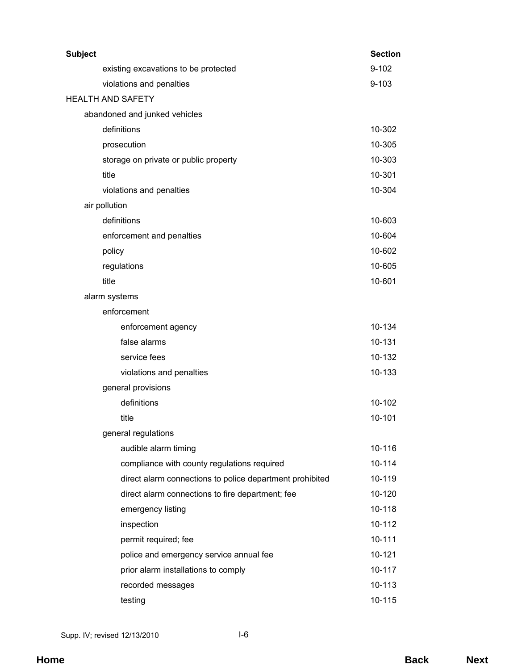| <b>Subject</b>                                           | <b>Section</b> |
|----------------------------------------------------------|----------------|
| existing excavations to be protected                     | $9 - 102$      |
| violations and penalties                                 | $9 - 103$      |
| <b>HEALTH AND SAFETY</b>                                 |                |
| abandoned and junked vehicles                            |                |
| definitions                                              | 10-302         |
| prosecution                                              | 10-305         |
| storage on private or public property                    | 10-303         |
| title                                                    | 10-301         |
| violations and penalties                                 | 10-304         |
| air pollution                                            |                |
| definitions                                              | 10-603         |
| enforcement and penalties                                | 10-604         |
| policy                                                   | 10-602         |
| regulations                                              | 10-605         |
| title                                                    | 10-601         |
| alarm systems                                            |                |
| enforcement                                              |                |
| enforcement agency                                       | 10-134         |
| false alarms                                             | 10-131         |
| service fees                                             | 10-132         |
| violations and penalties                                 | 10-133         |
| general provisions                                       |                |
| definitions                                              | 10-102         |
| title                                                    | 10-101         |
| general regulations                                      |                |
| audible alarm timing                                     | 10-116         |
| compliance with county regulations required              | 10-114         |
| direct alarm connections to police department prohibited | 10-119         |
| direct alarm connections to fire department; fee         | 10-120         |
| emergency listing                                        | 10-118         |
| inspection                                               | 10-112         |
| permit required; fee                                     | 10-111         |
| police and emergency service annual fee                  | 10-121         |
| prior alarm installations to comply                      | 10-117         |
| recorded messages                                        | 10-113         |
| testing                                                  | 10-115         |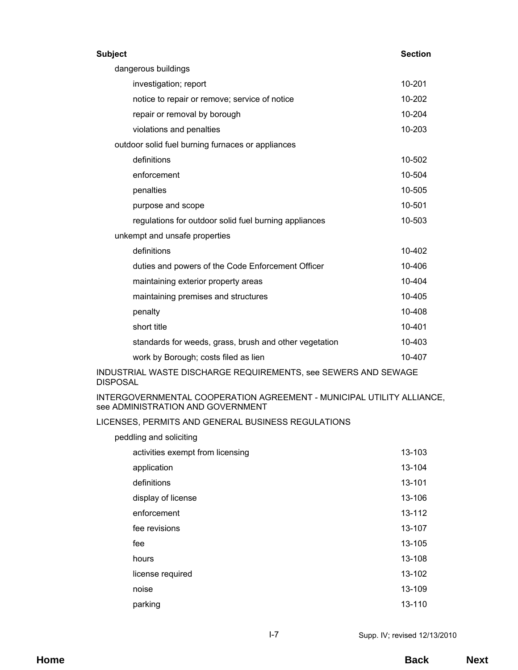#### **Subject Section**

| dangerous buildings           |                                                        |        |  |
|-------------------------------|--------------------------------------------------------|--------|--|
|                               | investigation; report                                  | 10-201 |  |
|                               | notice to repair or remove; service of notice          | 10-202 |  |
|                               | repair or removal by borough                           | 10-204 |  |
|                               | violations and penalties                               | 10-203 |  |
|                               | outdoor solid fuel burning furnaces or appliances      |        |  |
|                               | definitions                                            | 10-502 |  |
|                               | enforcement                                            | 10-504 |  |
|                               | penalties                                              | 10-505 |  |
|                               | purpose and scope                                      | 10-501 |  |
|                               | regulations for outdoor solid fuel burning appliances  | 10-503 |  |
| unkempt and unsafe properties |                                                        |        |  |
|                               | definitions                                            | 10-402 |  |
|                               | duties and powers of the Code Enforcement Officer      | 10-406 |  |
|                               | maintaining exterior property areas                    | 10-404 |  |
|                               | maintaining premises and structures                    | 10-405 |  |
|                               | penalty                                                | 10-408 |  |
|                               | short title                                            | 10-401 |  |
|                               | standards for weeds, grass, brush and other vegetation | 10-403 |  |
|                               | work by Borough; costs filed as lien                   | 10-407 |  |

INDUSTRIAL WASTE DISCHARGE REQUIREMENTS, see SEWERS AND SEWAGE DISPOSAL

INTERGOVERNMENTAL COOPERATION AGREEMENT - MUNICIPAL UTILITY ALLIANCE, see ADMINISTRATION AND GOVERNMENT

# LICENSES, PERMITS AND GENERAL BUSINESS REGULATIONS

| peddling and soliciting          |            |  |  |
|----------------------------------|------------|--|--|
| activities exempt from licensing | 13-103     |  |  |
| application                      | 13-104     |  |  |
| definitions                      | 13-101     |  |  |
| display of license               | 13-106     |  |  |
| enforcement                      | 13-112     |  |  |
| fee revisions                    | 13-107     |  |  |
| fee                              | 13-105     |  |  |
| hours                            | 13-108     |  |  |
| license required                 | 13-102     |  |  |
| noise                            | 13-109     |  |  |
| parking                          | $13 - 110$ |  |  |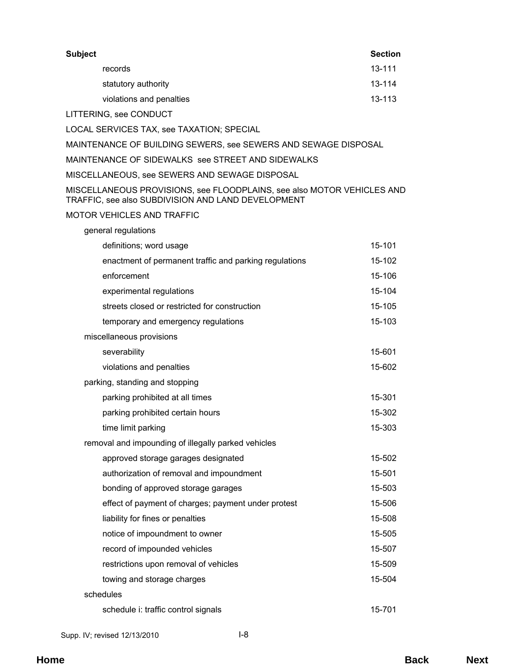| <b>Subject</b>                                                                                                               | <b>Section</b> |
|------------------------------------------------------------------------------------------------------------------------------|----------------|
| records                                                                                                                      | 13-111         |
| statutory authority                                                                                                          | 13-114         |
| violations and penalties                                                                                                     | 13-113         |
| LITTERING, see CONDUCT                                                                                                       |                |
| LOCAL SERVICES TAX, see TAXATION; SPECIAL                                                                                    |                |
| MAINTENANCE OF BUILDING SEWERS, see SEWERS AND SEWAGE DISPOSAL                                                               |                |
| MAINTENANCE OF SIDEWALKS see STREET AND SIDEWALKS                                                                            |                |
| MISCELLANEOUS, see SEWERS AND SEWAGE DISPOSAL                                                                                |                |
| MISCELLANEOUS PROVISIONS, see FLOODPLAINS, see also MOTOR VEHICLES AND<br>TRAFFIC, see also SUBDIVISION AND LAND DEVELOPMENT |                |
| <b>MOTOR VEHICLES AND TRAFFIC</b>                                                                                            |                |
| general regulations                                                                                                          |                |
| definitions; word usage                                                                                                      | 15-101         |
| enactment of permanent traffic and parking regulations                                                                       | 15-102         |
| enforcement                                                                                                                  | 15-106         |
| experimental regulations                                                                                                     | 15-104         |
| streets closed or restricted for construction                                                                                | 15-105         |
| temporary and emergency regulations                                                                                          | 15-103         |
| miscellaneous provisions                                                                                                     |                |
| severability                                                                                                                 | 15-601         |
| violations and penalties                                                                                                     | 15-602         |
| parking, standing and stopping                                                                                               |                |
| parking prohibited at all times                                                                                              | 15-301         |
| parking prohibited certain hours                                                                                             | 15-302         |
| time limit parking                                                                                                           | 15-303         |
| removal and impounding of illegally parked vehicles                                                                          |                |
| approved storage garages designated                                                                                          | 15-502         |
| authorization of removal and impoundment                                                                                     | 15-501         |
| bonding of approved storage garages                                                                                          | 15-503         |
| effect of payment of charges; payment under protest                                                                          | 15-506         |
| liability for fines or penalties                                                                                             | 15-508         |
| notice of impoundment to owner                                                                                               | 15-505         |
| record of impounded vehicles                                                                                                 | 15-507         |
| restrictions upon removal of vehicles                                                                                        | 15-509         |
| towing and storage charges                                                                                                   | 15-504         |
| schedules                                                                                                                    |                |
| schedule i: traffic control signals                                                                                          | 15-701         |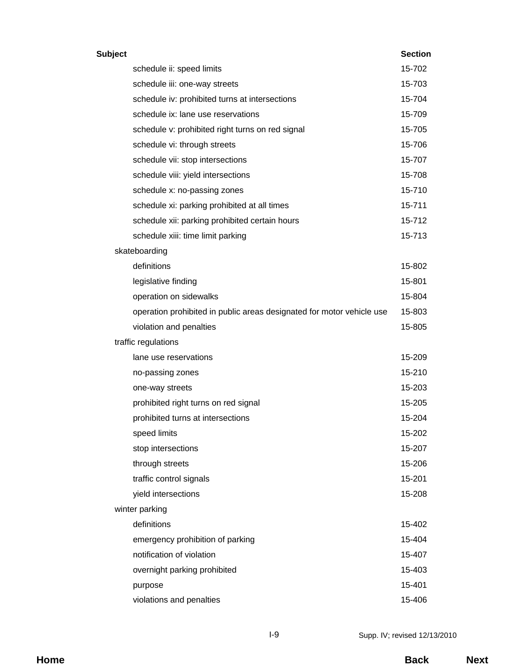| <b>Subject</b> |                                                                       | <b>Section</b> |
|----------------|-----------------------------------------------------------------------|----------------|
|                | schedule ii: speed limits                                             | 15-702         |
|                | schedule iii: one-way streets                                         | 15-703         |
|                | schedule iv: prohibited turns at intersections                        | 15-704         |
|                | schedule ix: lane use reservations                                    | 15-709         |
|                | schedule v: prohibited right turns on red signal                      | 15-705         |
|                | schedule vi: through streets                                          | 15-706         |
|                | schedule vii: stop intersections                                      | 15-707         |
|                | schedule viii: yield intersections                                    | 15-708         |
|                | schedule x: no-passing zones                                          | 15-710         |
|                | schedule xi: parking prohibited at all times                          | 15-711         |
|                | schedule xii: parking prohibited certain hours                        | 15-712         |
|                | schedule xiii: time limit parking                                     | 15-713         |
|                | skateboarding                                                         |                |
|                | definitions                                                           | 15-802         |
|                | legislative finding                                                   | 15-801         |
|                | operation on sidewalks                                                | 15-804         |
|                | operation prohibited in public areas designated for motor vehicle use | 15-803         |
|                | violation and penalties                                               | 15-805         |
|                | traffic regulations                                                   |                |
|                | lane use reservations                                                 | 15-209         |
|                | no-passing zones                                                      | 15-210         |
|                | one-way streets                                                       | 15-203         |
|                | prohibited right turns on red signal                                  | 15-205         |
|                | prohibited turns at intersections                                     | 15-204         |
|                | speed limits                                                          | 15-202         |
|                | stop intersections                                                    | 15-207         |
|                | through streets                                                       | 15-206         |
|                | traffic control signals                                               | 15-201         |
|                | yield intersections                                                   | 15-208         |
|                | winter parking                                                        |                |
|                | definitions                                                           | 15-402         |
|                | emergency prohibition of parking                                      | 15-404         |
|                | notification of violation                                             | 15-407         |
|                | overnight parking prohibited                                          | 15-403         |
|                | purpose                                                               | 15-401         |
|                | violations and penalties                                              | 15-406         |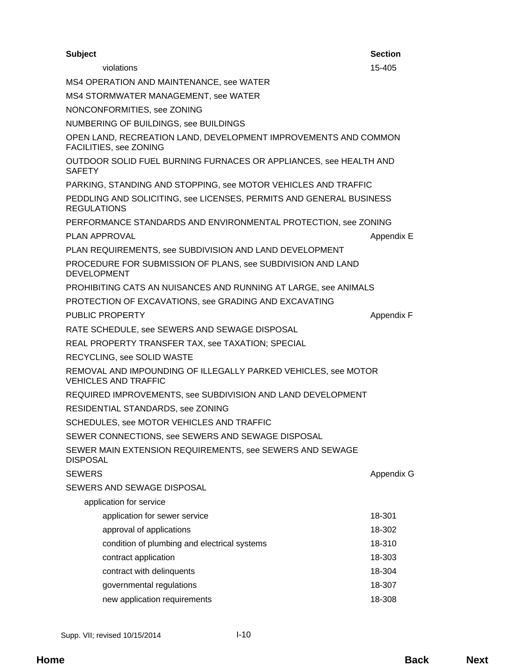| <b>Subject</b>                                                                                | <b>Section</b> |
|-----------------------------------------------------------------------------------------------|----------------|
| violations                                                                                    | 15-405         |
| MS4 OPERATION AND MAINTENANCE, see WATER                                                      |                |
| MS4 STORMWATER MANAGEMENT, see WATER                                                          |                |
| NONCONFORMITIES, see ZONING                                                                   |                |
| NUMBERING OF BUILDINGS, see BUILDINGS                                                         |                |
| OPEN LAND, RECREATION LAND, DEVELOPMENT IMPROVEMENTS AND COMMON<br>FACILITIES, see ZONING     |                |
| OUTDOOR SOLID FUEL BURNING FURNACES OR APPLIANCES, see HEALTH AND<br><b>SAFETY</b>            |                |
| PARKING, STANDING AND STOPPING, see MOTOR VEHICLES AND TRAFFIC                                |                |
| PEDDLING AND SOLICITING, see LICENSES, PERMITS AND GENERAL BUSINESS<br><b>REGULATIONS</b>     |                |
| PERFORMANCE STANDARDS AND ENVIRONMENTAL PROTECTION, see ZONING                                |                |
| PLAN APPROVAL                                                                                 | Appendix E     |
| PLAN REQUIREMENTS, see SUBDIVISION AND LAND DEVELOPMENT                                       |                |
| PROCEDURE FOR SUBMISSION OF PLANS, see SUBDIVISION AND LAND<br><b>DEVELOPMENT</b>             |                |
| PROHIBITING CATS AN NUISANCES AND RUNNING AT LARGE, see ANIMALS                               |                |
| PROTECTION OF EXCAVATIONS, see GRADING AND EXCAVATING                                         |                |
| PUBLIC PROPERTY                                                                               | Appendix F     |
| RATE SCHEDULE, see SEWERS AND SEWAGE DISPOSAL                                                 |                |
| REAL PROPERTY TRANSFER TAX, see TAXATION; SPECIAL                                             |                |
| RECYCLING, see SOLID WASTE                                                                    |                |
| REMOVAL AND IMPOUNDING OF ILLEGALLY PARKED VEHICLES, see MOTOR<br><b>VEHICLES AND TRAFFIC</b> |                |
| REQUIRED IMPROVEMENTS, see SUBDIVISION AND LAND DEVELOPMENT                                   |                |
| RESIDENTIAL STANDARDS, see ZONING                                                             |                |
| SCHEDULES, see MOTOR VEHICLES AND TRAFFIC                                                     |                |
| SEWER CONNECTIONS, see SEWERS AND SEWAGE DISPOSAL                                             |                |
| SEWER MAIN EXTENSION REQUIREMENTS, see SEWERS AND SEWAGE<br><b>DISPOSAL</b>                   |                |
| <b>SEWERS</b>                                                                                 | Appendix G     |
| SEWERS AND SEWAGE DISPOSAL                                                                    |                |
| application for service                                                                       |                |
| application for sewer service                                                                 | 18-301         |
| approval of applications                                                                      | 18-302         |
| condition of plumbing and electrical systems                                                  | 18-310         |
| contract application                                                                          | 18-303         |
| contract with delinquents                                                                     | 18-304         |
| governmental regulations                                                                      | 18-307         |
| new application requirements                                                                  | 18-308         |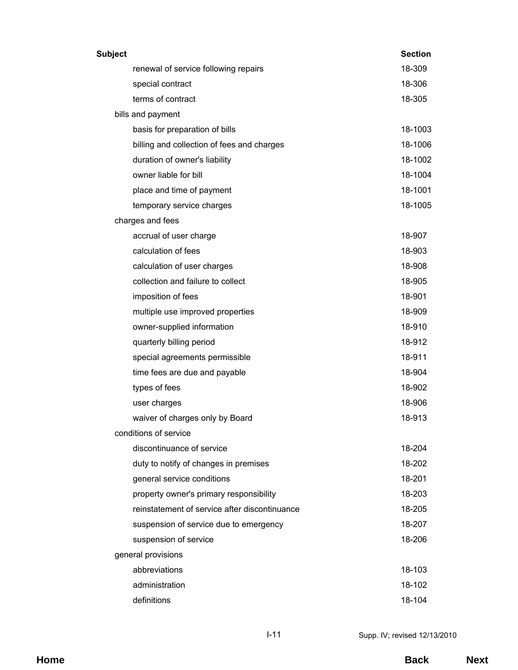| Subject                                       | <b>Section</b> |
|-----------------------------------------------|----------------|
| renewal of service following repairs          | 18-309         |
| special contract                              | 18-306         |
| terms of contract                             | 18-305         |
| bills and payment                             |                |
| basis for preparation of bills                | 18-1003        |
| billing and collection of fees and charges    | 18-1006        |
| duration of owner's liability                 | 18-1002        |
| owner liable for bill                         | 18-1004        |
| place and time of payment                     | 18-1001        |
| temporary service charges                     | 18-1005        |
| charges and fees                              |                |
| accrual of user charge                        | 18-907         |
| calculation of fees                           | 18-903         |
| calculation of user charges                   | 18-908         |
| collection and failure to collect             | 18-905         |
| imposition of fees                            | 18-901         |
| multiple use improved properties              | 18-909         |
| owner-supplied information                    | 18-910         |
| quarterly billing period                      | 18-912         |
| special agreements permissible                | 18-911         |
| time fees are due and payable                 | 18-904         |
| types of fees                                 | 18-902         |
| user charges                                  | 18-906         |
| waiver of charges only by Board               | 18-913         |
| conditions of service                         |                |
| discontinuance of service                     | 18-204         |
| duty to notify of changes in premises         | 18-202         |
| general service conditions                    | 18-201         |
| property owner's primary responsibility       | 18-203         |
| reinstatement of service after discontinuance | 18-205         |
| suspension of service due to emergency        | 18-207         |
| suspension of service                         | 18-206         |
| general provisions                            |                |
| abbreviations                                 | 18-103         |
| administration                                | 18-102         |
| definitions                                   | 18-104         |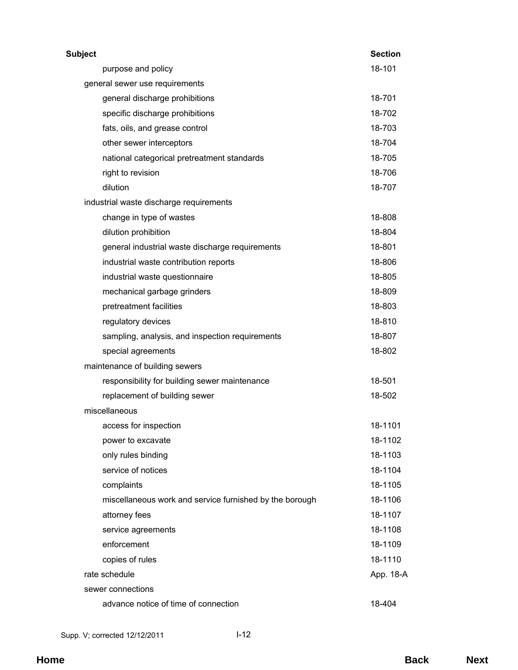| <b>Subject</b>                                          | <b>Section</b> |
|---------------------------------------------------------|----------------|
| purpose and policy                                      | 18-101         |
| general sewer use requirements                          |                |
| general discharge prohibitions                          | 18-701         |
| specific discharge prohibitions                         | 18-702         |
| fats, oils, and grease control                          | 18-703         |
| other sewer interceptors                                | 18-704         |
| national categorical pretreatment standards             | 18-705         |
| right to revision                                       | 18-706         |
| dilution                                                | 18-707         |
| industrial waste discharge requirements                 |                |
| change in type of wastes                                | 18-808         |
| dilution prohibition                                    | 18-804         |
| general industrial waste discharge requirements         | 18-801         |
| industrial waste contribution reports                   | 18-806         |
| industrial waste questionnaire                          | 18-805         |
| mechanical garbage grinders                             | 18-809         |
| pretreatment facilities                                 | 18-803         |
| regulatory devices                                      | 18-810         |
| sampling, analysis, and inspection requirements         | 18-807         |
| special agreements                                      | 18-802         |
| maintenance of building sewers                          |                |
| responsibility for building sewer maintenance           | 18-501         |
| replacement of building sewer                           | 18-502         |
| miscellaneous                                           |                |
| access for inspection                                   | 18-1101        |
| power to excavate                                       | 18-1102        |
| only rules binding                                      | 18-1103        |
| service of notices                                      | 18-1104        |
| complaints                                              | 18-1105        |
| miscellaneous work and service furnished by the borough | 18-1106        |
| attorney fees                                           | 18-1107        |
| service agreements                                      | 18-1108        |
| enforcement                                             | 18-1109        |
| copies of rules                                         | 18-1110        |
| rate schedule                                           | App. 18-A      |
| sewer connections                                       |                |
| advance notice of time of connection                    | 18-404         |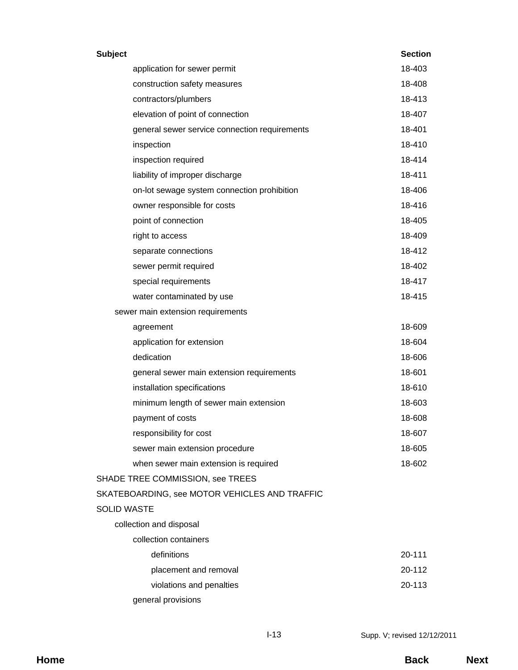| <b>Subject</b>     |                                               | <b>Section</b> |
|--------------------|-----------------------------------------------|----------------|
|                    | application for sewer permit                  | 18-403         |
|                    | construction safety measures                  | 18-408         |
|                    | contractors/plumbers                          | 18-413         |
|                    | elevation of point of connection              | 18-407         |
|                    | general sewer service connection requirements | 18-401         |
|                    | inspection                                    | 18-410         |
|                    | inspection required                           | 18-414         |
|                    | liability of improper discharge               | 18-411         |
|                    | on-lot sewage system connection prohibition   | 18-406         |
|                    | owner responsible for costs                   | 18-416         |
|                    | point of connection                           | 18-405         |
|                    | right to access                               | 18-409         |
|                    | separate connections                          | 18-412         |
|                    | sewer permit required                         | 18-402         |
|                    | special requirements                          | 18-417         |
|                    | water contaminated by use                     | 18-415         |
|                    | sewer main extension requirements             |                |
|                    | agreement                                     | 18-609         |
|                    | application for extension                     | 18-604         |
|                    | dedication                                    | 18-606         |
|                    | general sewer main extension requirements     | 18-601         |
|                    | installation specifications                   | 18-610         |
|                    | minimum length of sewer main extension        | 18-603         |
|                    | payment of costs                              | 18-608         |
|                    | responsibility for cost                       | 18-607         |
|                    | sewer main extension procedure                | 18-605         |
|                    | when sewer main extension is required         | 18-602         |
|                    | SHADE TREE COMMISSION, see TREES              |                |
|                    | SKATEBOARDING, see MOTOR VEHICLES AND TRAFFIC |                |
| <b>SOLID WASTE</b> |                                               |                |
|                    | collection and disposal                       |                |
|                    | collection containers                         |                |
|                    | definitions                                   | 20-111         |
|                    | placement and removal                         | 20-112         |
|                    | violations and penalties                      | 20-113         |
|                    | general provisions                            |                |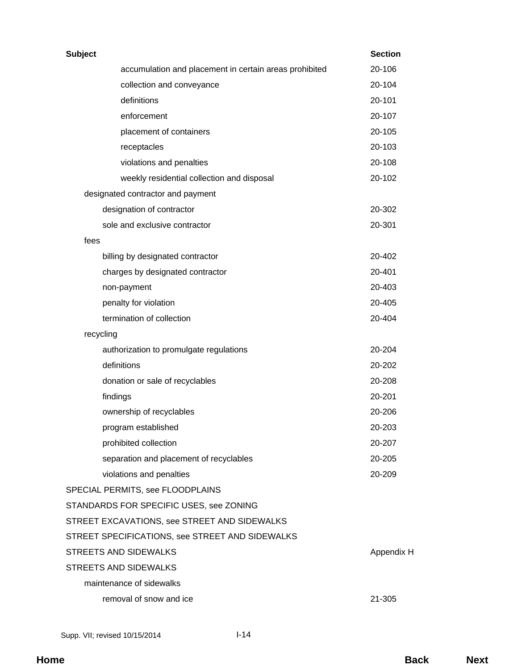| Subject |                                                        | <b>Section</b> |
|---------|--------------------------------------------------------|----------------|
|         | accumulation and placement in certain areas prohibited | 20-106         |
|         | collection and conveyance                              | 20-104         |
|         | definitions                                            | 20-101         |
|         | enforcement                                            | 20-107         |
|         | placement of containers                                | 20-105         |
|         | receptacles                                            | 20-103         |
|         | violations and penalties                               | 20-108         |
|         | weekly residential collection and disposal             | 20-102         |
|         | designated contractor and payment                      |                |
|         | designation of contractor                              | 20-302         |
|         | sole and exclusive contractor                          | 20-301         |
| fees    |                                                        |                |
|         | billing by designated contractor                       | 20-402         |
|         | charges by designated contractor                       | 20-401         |
|         | non-payment                                            | 20-403         |
|         | penalty for violation                                  | 20-405         |
|         | termination of collection                              | 20-404         |
|         | recycling                                              |                |
|         | authorization to promulgate regulations                | 20-204         |
|         | definitions                                            | 20-202         |
|         | donation or sale of recyclables                        | 20-208         |
|         | findings                                               | 20-201         |
|         | ownership of recyclables                               | 20-206         |
|         | program established                                    | 20-203         |
|         | prohibited collection                                  | 20-207         |
|         | separation and placement of recyclables                | 20-205         |
|         | violations and penalties                               | 20-209         |
|         | SPECIAL PERMITS, see FLOODPLAINS                       |                |
|         | STANDARDS FOR SPECIFIC USES, see ZONING                |                |
|         | STREET EXCAVATIONS, see STREET AND SIDEWALKS           |                |
|         | STREET SPECIFICATIONS, see STREET AND SIDEWALKS        |                |
|         | STREETS AND SIDEWALKS                                  | Appendix H     |
|         | STREETS AND SIDEWALKS                                  |                |
|         | maintenance of sidewalks                               |                |
|         | removal of snow and ice                                | 21-305         |
|         |                                                        |                |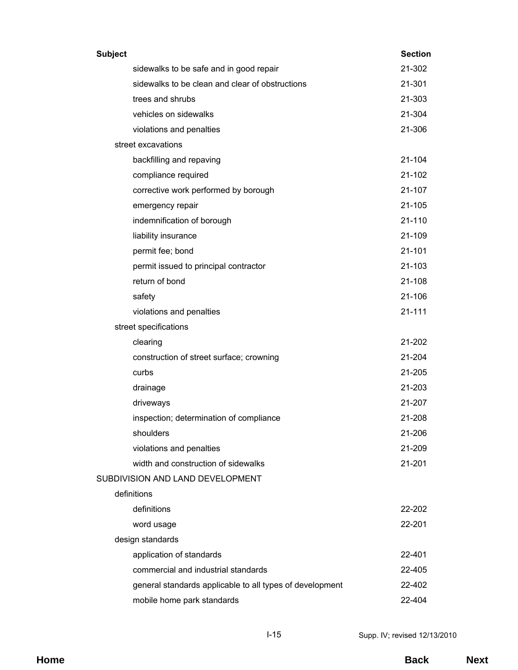| <b>Subject</b>                                           | <b>Section</b> |
|----------------------------------------------------------|----------------|
| sidewalks to be safe and in good repair                  | 21-302         |
| sidewalks to be clean and clear of obstructions          | 21-301         |
| trees and shrubs                                         | 21-303         |
| vehicles on sidewalks                                    | 21-304         |
| violations and penalties                                 | 21-306         |
| street excavations                                       |                |
| backfilling and repaving                                 | $21 - 104$     |
| compliance required                                      | 21-102         |
| corrective work performed by borough                     | 21-107         |
| emergency repair                                         | 21-105         |
| indemnification of borough                               | 21-110         |
| liability insurance                                      | 21-109         |
| permit fee; bond                                         | 21-101         |
| permit issued to principal contractor                    | 21-103         |
| return of bond                                           | 21-108         |
| safety                                                   | 21-106         |
| violations and penalties                                 | 21-111         |
| street specifications                                    |                |
| clearing                                                 | 21-202         |
| construction of street surface; crowning                 | 21-204         |
| curbs                                                    | 21-205         |
| drainage                                                 | 21-203         |
| driveways                                                | 21-207         |
| inspection; determination of compliance                  | 21-208         |
| shoulders                                                | 21-206         |
| violations and penalties                                 | 21-209         |
| width and construction of sidewalks                      | 21-201         |
| SUBDIVISION AND LAND DEVELOPMENT                         |                |
| definitions                                              |                |
| definitions                                              | 22-202         |
| word usage                                               | 22-201         |
| design standards                                         |                |
| application of standards                                 | 22-401         |
| commercial and industrial standards                      | 22-405         |
| general standards applicable to all types of development | 22-402         |
| mobile home park standards                               | 22-404         |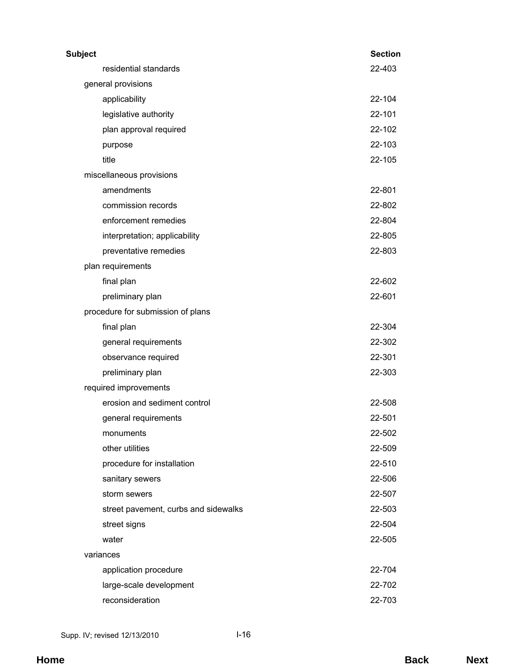| <b>Subject</b>                       | <b>Section</b> |
|--------------------------------------|----------------|
| residential standards                | 22-403         |
| general provisions                   |                |
| applicability                        | 22-104         |
| legislative authority                | 22-101         |
| plan approval required               | 22-102         |
| purpose                              | 22-103         |
| title                                | 22-105         |
| miscellaneous provisions             |                |
| amendments                           | 22-801         |
| commission records                   | 22-802         |
| enforcement remedies                 | 22-804         |
| interpretation; applicability        | 22-805         |
| preventative remedies                | 22-803         |
| plan requirements                    |                |
| final plan                           | 22-602         |
| preliminary plan                     | 22-601         |
| procedure for submission of plans    |                |
| final plan                           | 22-304         |
| general requirements                 | 22-302         |
| observance required                  | 22-301         |
| preliminary plan                     | 22-303         |
| required improvements                |                |
| erosion and sediment control         | 22-508         |
| general requirements                 | 22-501         |
| monuments                            | 22-502         |
| other utilities                      | 22-509         |
| procedure for installation           | 22-510         |
| sanitary sewers                      | 22-506         |
| storm sewers                         | 22-507         |
| street pavement, curbs and sidewalks | 22-503         |
| street signs                         | 22-504         |
| water                                | 22-505         |
| variances                            |                |
| application procedure                | 22-704         |
| large-scale development              | 22-702         |
| reconsideration                      | 22-703         |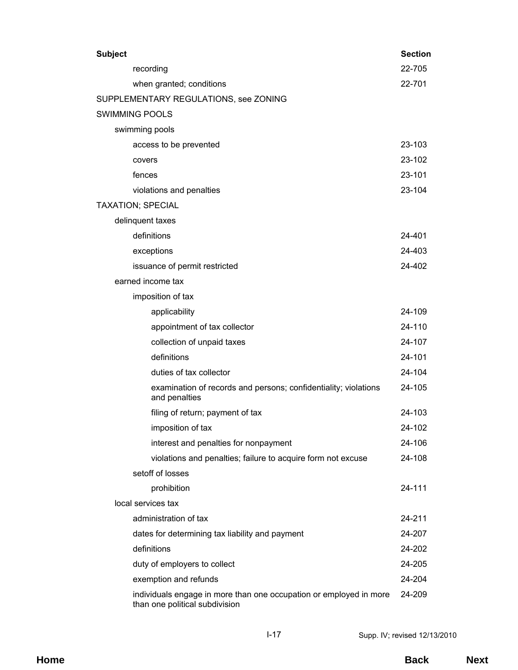| <b>Subject</b>                                                                                       | <b>Section</b> |
|------------------------------------------------------------------------------------------------------|----------------|
| recording                                                                                            | 22-705         |
| when granted; conditions                                                                             | 22-701         |
| SUPPLEMENTARY REGULATIONS, see ZONING                                                                |                |
| <b>SWIMMING POOLS</b>                                                                                |                |
| swimming pools                                                                                       |                |
| access to be prevented                                                                               | 23-103         |
| covers                                                                                               | 23-102         |
| fences                                                                                               | 23-101         |
| violations and penalties                                                                             | 23-104         |
| <b>TAXATION; SPECIAL</b>                                                                             |                |
| delinquent taxes                                                                                     |                |
| definitions                                                                                          | 24-401         |
| exceptions                                                                                           | 24-403         |
| issuance of permit restricted                                                                        | 24-402         |
| earned income tax                                                                                    |                |
| imposition of tax                                                                                    |                |
| applicability                                                                                        | 24-109         |
| appointment of tax collector                                                                         | 24-110         |
| collection of unpaid taxes                                                                           | 24-107         |
| definitions                                                                                          | 24-101         |
| duties of tax collector                                                                              | 24-104         |
| examination of records and persons; confidentiality; violations<br>and penalties                     | 24-105         |
| filing of return; payment of tax                                                                     | 24-103         |
| imposition of tax                                                                                    | 24-102         |
| interest and penalties for nonpayment                                                                | 24-106         |
| violations and penalties; failure to acquire form not excuse                                         | 24-108         |
| setoff of losses                                                                                     |                |
| prohibition                                                                                          | 24-111         |
| local services tax                                                                                   |                |
| administration of tax                                                                                | 24-211         |
| dates for determining tax liability and payment                                                      | 24-207         |
| definitions                                                                                          | 24-202         |
| duty of employers to collect                                                                         | 24-205         |
| exemption and refunds                                                                                | 24-204         |
| individuals engage in more than one occupation or employed in more<br>than one political subdivision | 24-209         |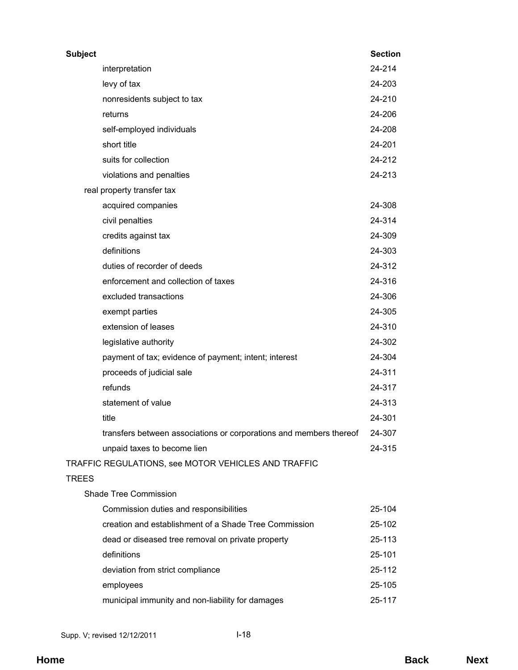| <b>Subject</b> |                                                                    | <b>Section</b> |
|----------------|--------------------------------------------------------------------|----------------|
|                | interpretation                                                     | 24-214         |
|                | levy of tax                                                        | 24-203         |
|                | nonresidents subject to tax                                        | 24-210         |
|                | returns                                                            | 24-206         |
|                | self-employed individuals                                          | 24-208         |
|                | short title                                                        | 24-201         |
|                | suits for collection                                               | 24-212         |
|                | violations and penalties                                           | 24-213         |
|                | real property transfer tax                                         |                |
|                | acquired companies                                                 | 24-308         |
|                | civil penalties                                                    | 24-314         |
|                | credits against tax                                                | 24-309         |
|                | definitions                                                        | 24-303         |
|                | duties of recorder of deeds                                        | 24-312         |
|                | enforcement and collection of taxes                                | 24-316         |
|                | excluded transactions                                              | 24-306         |
|                | exempt parties                                                     | 24-305         |
|                | extension of leases                                                | 24-310         |
|                | legislative authority                                              | 24-302         |
|                | payment of tax; evidence of payment; intent; interest              | 24-304         |
|                | proceeds of judicial sale                                          | 24-311         |
|                | refunds                                                            | 24-317         |
|                | statement of value                                                 | 24-313         |
|                | title                                                              | 24-301         |
|                | transfers between associations or corporations and members thereof | 24-307         |
|                | unpaid taxes to become lien                                        | 24-315         |
|                | TRAFFIC REGULATIONS, see MOTOR VEHICLES AND TRAFFIC                |                |
| <b>TREES</b>   |                                                                    |                |
|                | <b>Shade Tree Commission</b>                                       |                |
|                | Commission duties and responsibilities                             | 25-104         |
|                | creation and establishment of a Shade Tree Commission              | 25-102         |
|                | dead or diseased tree removal on private property                  | 25-113         |
|                | definitions                                                        | 25-101         |
|                | deviation from strict compliance                                   | 25-112         |
|                | employees                                                          | 25-105         |
|                | municipal immunity and non-liability for damages                   | 25-117         |
|                |                                                                    |                |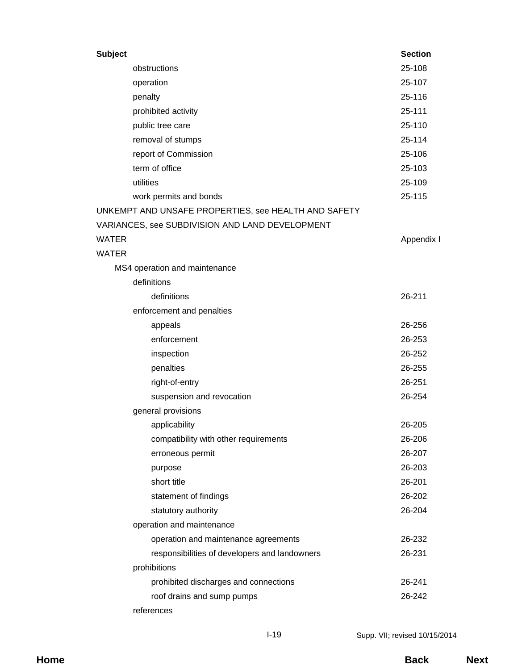| <b>Subject</b> |                                                      | <b>Section</b> |
|----------------|------------------------------------------------------|----------------|
|                | obstructions                                         | 25-108         |
|                | operation                                            | 25-107         |
|                | penalty                                              | 25-116         |
|                | prohibited activity                                  | 25-111         |
|                | public tree care                                     | 25-110         |
|                | removal of stumps                                    | 25-114         |
|                | report of Commission                                 | 25-106         |
|                | term of office                                       | 25-103         |
|                | utilities                                            | 25-109         |
|                | work permits and bonds                               | 25-115         |
|                | UNKEMPT AND UNSAFE PROPERTIES, see HEALTH AND SAFETY |                |
|                | VARIANCES, see SUBDIVISION AND LAND DEVELOPMENT      |                |
| WATER          |                                                      | Appendix I     |
| <b>WATER</b>   |                                                      |                |
|                | MS4 operation and maintenance                        |                |
|                | definitions                                          |                |
|                | definitions                                          | 26-211         |
|                | enforcement and penalties                            |                |
|                | appeals                                              | 26-256         |
|                | enforcement                                          | 26-253         |
|                | inspection                                           | 26-252         |
|                | penalties                                            | 26-255         |
|                | right-of-entry                                       | 26-251         |
|                | suspension and revocation                            | 26-254         |
|                | general provisions                                   |                |
|                | applicability                                        | 26-205         |
|                | compatibility with other requirements                | 26-206         |
|                | erroneous permit                                     | 26-207         |
|                | purpose                                              | 26-203         |
|                | short title                                          | 26-201         |
|                | statement of findings                                | 26-202         |
|                | statutory authority                                  | 26-204         |
|                | operation and maintenance                            |                |
|                | operation and maintenance agreements                 | 26-232         |
|                | responsibilities of developers and landowners        | 26-231         |
|                | prohibitions                                         |                |
|                | prohibited discharges and connections                | 26-241         |
|                | roof drains and sump pumps                           | 26-242         |
|                | references                                           |                |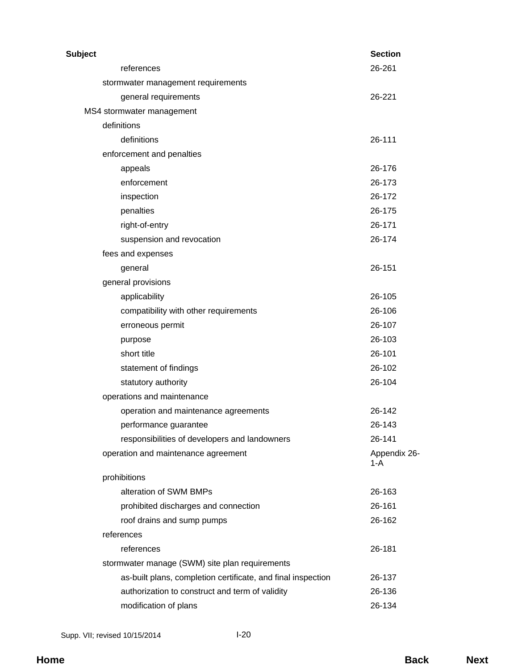| <b>Subject</b>                                               | <b>Section</b>      |
|--------------------------------------------------------------|---------------------|
| references                                                   | 26-261              |
| stormwater management requirements                           |                     |
| general requirements                                         | 26-221              |
| MS4 stormwater management                                    |                     |
| definitions                                                  |                     |
| definitions                                                  | 26-111              |
| enforcement and penalties                                    |                     |
| appeals                                                      | 26-176              |
| enforcement                                                  | 26-173              |
| inspection                                                   | 26-172              |
| penalties                                                    | 26-175              |
| right-of-entry                                               | 26-171              |
| suspension and revocation                                    | 26-174              |
| fees and expenses                                            |                     |
| general                                                      | 26-151              |
| general provisions                                           |                     |
| applicability                                                | 26-105              |
| compatibility with other requirements                        | 26-106              |
| erroneous permit                                             | 26-107              |
| purpose                                                      | 26-103              |
| short title                                                  | 26-101              |
| statement of findings                                        | 26-102              |
| statutory authority                                          | 26-104              |
| operations and maintenance                                   |                     |
| operation and maintenance agreements                         | 26-142              |
| performance guarantee                                        | 26-143              |
| responsibilities of developers and landowners                | 26-141              |
| operation and maintenance agreement                          | Appendix 26-<br>1-A |
| prohibitions                                                 |                     |
| alteration of SWM BMPs                                       | 26-163              |
| prohibited discharges and connection                         | 26-161              |
| roof drains and sump pumps                                   | 26-162              |
| references                                                   |                     |
| references                                                   | 26-181              |
| stormwater manage (SWM) site plan requirements               |                     |
| as-built plans, completion certificate, and final inspection | 26-137              |
| authorization to construct and term of validity              | 26-136              |
| modification of plans                                        | 26-134              |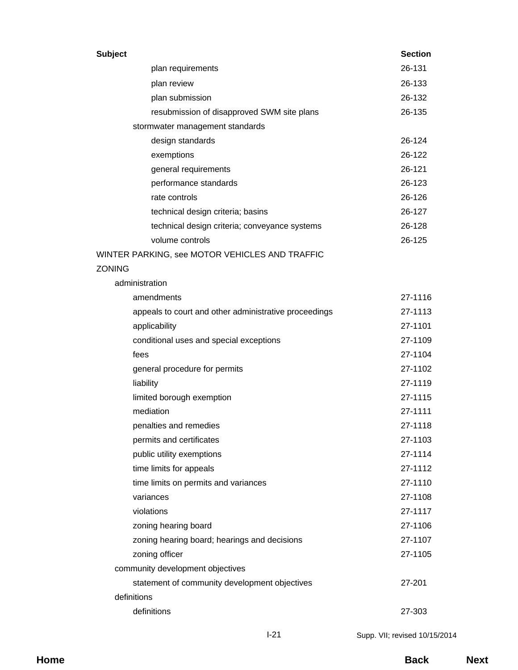| <b>Subject</b>                                        | <b>Section</b> |
|-------------------------------------------------------|----------------|
| plan requirements                                     | 26-131         |
| plan review                                           | 26-133         |
| plan submission                                       | 26-132         |
| resubmission of disapproved SWM site plans            | 26-135         |
| stormwater management standards                       |                |
| design standards                                      | 26-124         |
| exemptions                                            | 26-122         |
| general requirements                                  | 26-121         |
| performance standards                                 | 26-123         |
| rate controls                                         | 26-126         |
| technical design criteria; basins                     | 26-127         |
| technical design criteria; conveyance systems         | 26-128         |
| volume controls                                       | 26-125         |
| WINTER PARKING, see MOTOR VEHICLES AND TRAFFIC        |                |
| <b>ZONING</b>                                         |                |
| administration                                        |                |
| amendments                                            | 27-1116        |
| appeals to court and other administrative proceedings | 27-1113        |
| applicability                                         | 27-1101        |
| conditional uses and special exceptions               | 27-1109        |
| fees                                                  | 27-1104        |
| general procedure for permits                         | 27-1102        |
| liability                                             | 27-1119        |
| limited borough exemption                             | 27-1115        |
| mediation                                             | 27-1111        |
| penalties and remedies                                | 27-1118        |
| permits and certificates                              | 27-1103        |
| public utility exemptions                             | 27-1114        |
| time limits for appeals                               | 27-1112        |
| time limits on permits and variances                  | 27-1110        |
| variances                                             | 27-1108        |
| violations                                            | 27-1117        |
| zoning hearing board                                  | 27-1106        |
| zoning hearing board; hearings and decisions          | 27-1107        |
| zoning officer                                        | 27-1105        |
| community development objectives                      |                |
| statement of community development objectives         | 27-201         |
| definitions                                           |                |
| definitions                                           | 27-303         |
|                                                       |                |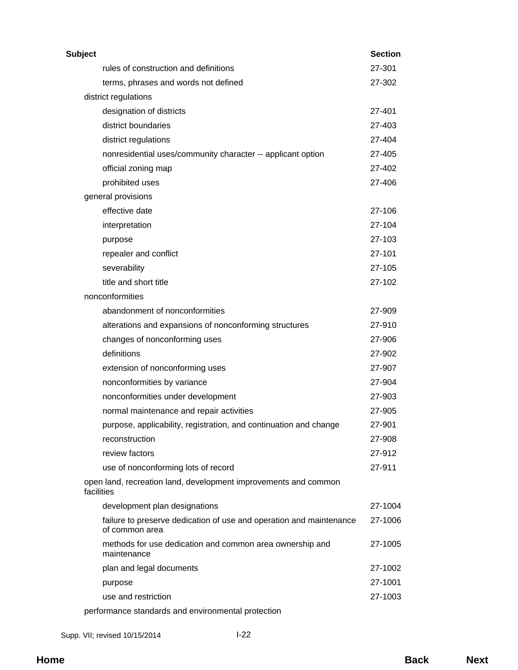| Subject |                                                                                       | <b>Section</b> |
|---------|---------------------------------------------------------------------------------------|----------------|
|         | rules of construction and definitions                                                 | 27-301         |
|         | terms, phrases and words not defined                                                  | 27-302         |
|         | district regulations                                                                  |                |
|         | designation of districts                                                              | 27-401         |
|         | district boundaries                                                                   | 27-403         |
|         | district regulations                                                                  | 27-404         |
|         | nonresidential uses/community character -- applicant option                           | 27-405         |
|         | official zoning map                                                                   | 27-402         |
|         | prohibited uses                                                                       | 27-406         |
|         | general provisions                                                                    |                |
|         | effective date                                                                        | 27-106         |
|         | interpretation                                                                        | 27-104         |
|         | purpose                                                                               | 27-103         |
|         | repealer and conflict                                                                 | 27-101         |
|         | severability                                                                          | 27-105         |
|         | title and short title                                                                 | 27-102         |
|         | nonconformities                                                                       |                |
|         | abandonment of nonconformities                                                        | 27-909         |
|         | alterations and expansions of nonconforming structures                                | 27-910         |
|         | changes of nonconforming uses                                                         | 27-906         |
|         | definitions                                                                           | 27-902         |
|         | extension of nonconforming uses                                                       | 27-907         |
|         | nonconformities by variance                                                           | 27-904         |
|         | nonconformities under development                                                     | 27-903         |
|         | normal maintenance and repair activities                                              | 27-905         |
|         | purpose, applicability, registration, and continuation and change                     | 27-901         |
|         | reconstruction                                                                        | 27-908         |
|         | review factors                                                                        | 27-912         |
|         | use of nonconforming lots of record                                                   | 27-911         |
|         | open land, recreation land, development improvements and common<br>facilities         |                |
|         | development plan designations                                                         | 27-1004        |
|         | failure to preserve dedication of use and operation and maintenance<br>of common area | 27-1006        |
|         | methods for use dedication and common area ownership and<br>maintenance               | 27-1005        |
|         | plan and legal documents                                                              | 27-1002        |
|         | purpose                                                                               | 27-1001        |
|         | use and restriction                                                                   | 27-1003        |
|         | performance standards and environmental protection                                    |                |